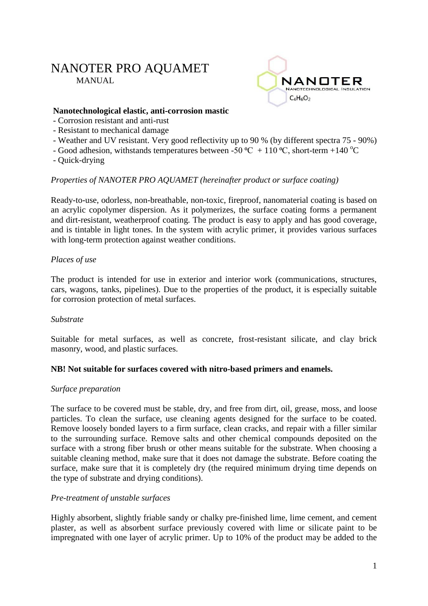# NANOTER PRO AQUAMET MANUAL



#### **Nanotechnological elastic, anti-corrosion mastic**

- Corrosion resistant and anti-rust
- Resistant to mechanical damage
- Weather and UV resistant. Very good reflectivity up to 90 % (by different spectra 75 90%)
- Good adhesion, withstands temperatures between -50 °C + 110 °C, short-term +140 °C
- Quick-drying

# *Properties of NANOTER PRO AQUAMET (hereinafter product or surface coating)*

Ready-to-use, odorless, non-breathable, non-toxic, fireproof, nanomaterial coating is based on an acrylic copolymer dispersion. As it polymerizes, the surface coating forms a permanent and dirt-resistant, weatherproof coating. The product is easy to apply and has good coverage, and is tintable in light tones. In the system with acrylic primer, it provides various surfaces with long-term protection against weather conditions.

# *Places of use*

The product is intended for use in exterior and interior work (communications, structures, cars, wagons, tanks, pipelines). Due to the properties of the product, it is especially suitable for corrosion protection of metal surfaces.

#### *Substrate*

Suitable for metal surfaces, as well as concrete, frost-resistant silicate, and clay brick masonry, wood, and plastic surfaces.

# **NB! Not suitable for surfaces covered with nitro-based primers and enamels.**

#### *Surface preparation*

The surface to be covered must be stable, dry, and free from dirt, oil, grease, moss, and loose particles. To clean the surface, use cleaning agents designed for the surface to be coated. Remove loosely bonded layers to a firm surface, clean cracks, and repair with a filler similar to the surrounding surface. Remove salts and other chemical compounds deposited on the surface with a strong fiber brush or other means suitable for the substrate. When choosing a suitable cleaning method, make sure that it does not damage the substrate. Before coating the surface, make sure that it is completely dry (the required minimum drying time depends on the type of substrate and drying conditions).

# *Pre-treatment of unstable surfaces*

Highly absorbent, slightly friable sandy or chalky pre-finished lime, lime cement, and cement plaster, as well as absorbent surface previously covered with lime or silicate paint to be impregnated with one layer of acrylic primer. Up to 10% of the product may be added to the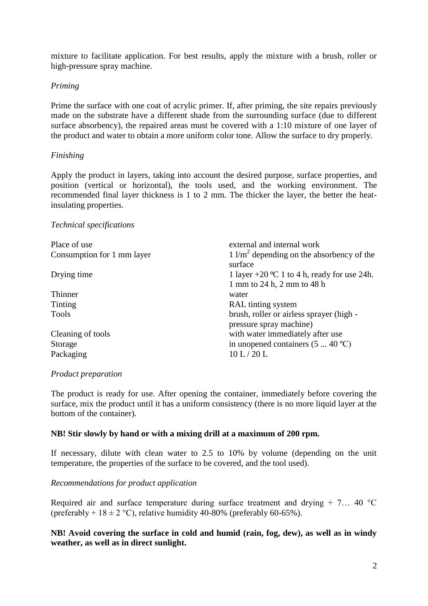mixture to facilitate application. For best results, apply the mixture with a brush, roller or high-pressure spray machine.

# *Priming*

Prime the surface with one coat of acrylic primer. If, after priming, the site repairs previously made on the substrate have a different shade from the surrounding surface (due to different surface absorbency), the repaired areas must be covered with a 1:10 mixture of one layer of the product and water to obtain a more uniform color tone. Allow the surface to dry properly.

# *Finishing*

Apply the product in layers, taking into account the desired purpose, surface properties, and position (vertical or horizontal), the tools used, and the working environment. The recommended final layer thickness is 1 to 2 mm. The thicker the layer, the better the heatinsulating properties.

#### *Technical specifications*

| Place of use               | external and internal work                                      |
|----------------------------|-----------------------------------------------------------------|
| Consumption for 1 mm layer | $1 \text{ l/m}^2$ depending on the absorbency of the<br>surface |
| Drying time                | 1 layer +20 °C 1 to 4 h, ready for use 24h.                     |
|                            | 1 mm to 24 h, 2 mm to 48 h                                      |
| Thinner                    | water                                                           |
| Tinting                    | RAL tinting system                                              |
| Tools                      | brush, roller or airless sprayer (high -                        |
|                            | pressure spray machine)                                         |
| Cleaning of tools          | with water immediately after use                                |
| Storage                    | in unopened containers $(5 \dots 40^{\circ}C)$                  |
| Packaging                  | 10 L/20 L                                                       |

#### *Product preparation*

The product is ready for use. After opening the container, immediately before covering the surface, mix the product until it has a uniform consistency (there is no more liquid layer at the bottom of the container).

#### **NB! Stir slowly by hand or with a mixing drill at a maximum of 200 rpm.**

If necessary, dilute with clean water to 2.5 to 10% by volume (depending on the unit temperature, the properties of the surface to be covered, and the tool used).

#### *Recommendations for product application*

Required air and surface temperature during surface treatment and drying  $+ 7... 40$  °C (preferably +  $18 \pm 2$  °C), relative humidity 40-80% (preferably 60-65%).

# **NB! Avoid covering the surface in cold and humid (rain, fog, dew), as well as in windy weather, as well as in direct sunlight.**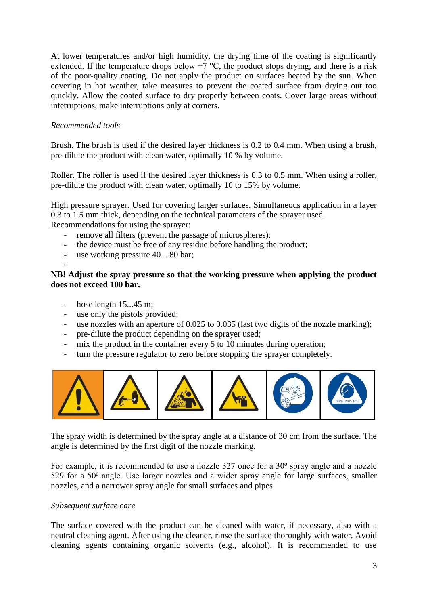At lower temperatures and/or high humidity, the drying time of the coating is significantly extended. If the temperature drops below  $+7$  °C, the product stops drying, and there is a risk of the poor-quality coating. Do not apply the product on surfaces heated by the sun. When covering in hot weather, take measures to prevent the coated surface from drying out too quickly. Allow the coated surface to dry properly between coats. Cover large areas without interruptions, make interruptions only at corners.

# *Recommended tools*

Brush. The brush is used if the desired layer thickness is 0.2 to 0.4 mm. When using a brush, pre-dilute the product with clean water, optimally 10 % by volume.

Roller. The roller is used if the desired layer thickness is 0.3 to 0.5 mm. When using a roller, pre-dilute the product with clean water, optimally 10 to 15% by volume.

High pressure sprayer. Used for covering larger surfaces. Simultaneous application in a layer 0.3 to 1.5 mm thick, depending on the technical parameters of the sprayer used. Recommendations for using the sprayer:

- remove all filters (prevent the passage of microspheres):
- the device must be free of any residue before handling the product;
- use working pressure 40... 80 bar;

#### - **NB! Adjust the spray pressure so that the working pressure when applying the product does not exceed 100 bar.**

- hose length 15...45 m;
- use only the pistols provided;
- use nozzles with an aperture of 0.025 to 0.035 (last two digits of the nozzle marking);
- pre-dilute the product depending on the sprayer used;
- mix the product in the container every 5 to 10 minutes during operation;
- turn the pressure regulator to zero before stopping the sprayer completely.



The spray width is determined by the spray angle at a distance of 30 cm from the surface. The angle is determined by the first digit of the nozzle marking.

For example, it is recommended to use a nozzle  $327$  once for a  $30^{\circ}$  spray angle and a nozzle 529 for a  $50<sup>o</sup>$  angle. Use larger nozzles and a wider spray angle for large surfaces, smaller nozzles, and a narrower spray angle for small surfaces and pipes.

#### *Subsequent surface care*

The surface covered with the product can be cleaned with water, if necessary, also with a neutral cleaning agent. After using the cleaner, rinse the surface thoroughly with water. Avoid cleaning agents containing organic solvents (e.g., alcohol). It is recommended to use